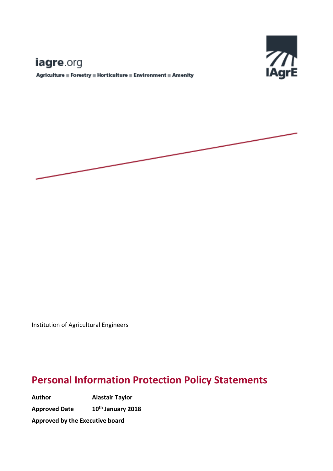# iagre.org

Agriculture = Forestry = Horticulture = Environment = Amenity



Institution of Agricultural Engineers

## **Personal Information Protection Policy Statements**

**Author Alastair Taylor Approved Date th January 2018 Approved by the Executive board**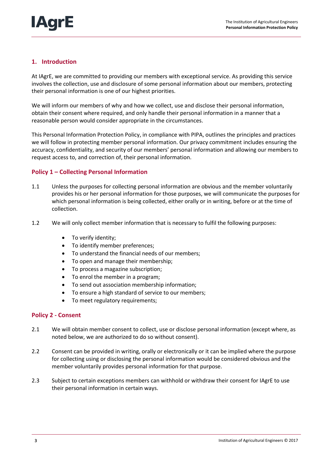### **1. Introduction**

At IAgrE, we are committed to providing our members with exceptional service. As providing this service involves the collection, use and disclosure of some personal information about our members, protecting their personal information is one of our highest priorities.

We will inform our members of why and how we collect, use and disclose their personal information, obtain their consent where required, and only handle their personal information in a manner that a reasonable person would consider appropriate in the circumstances.

This Personal Information Protection Policy, in compliance with PIPA, outlines the principles and practices we will follow in protecting member personal information. Our privacy commitment includes ensuring the accuracy, confidentiality, and security of our members' personal information and allowing our members to request access to, and correction of, their personal information.

#### **Policy 1 – Collecting Personal Information**

- 1.1 Unless the purposes for collecting personal information are obvious and the member voluntarily provides his or her personal information for those purposes, we will communicate the purposes for which personal information is being collected, either orally or in writing, before or at the time of collection.
- 1.2 We will only collect member information that is necessary to fulfil the following purposes:
	- To verify identity;
	- To identify member preferences;
	- To understand the financial needs of our members;
	- To open and manage their membership;
	- To process a magazine subscription;
	- To enrol the member in a program;
	- To send out association membership information;
	- To ensure a high standard of service to our members;
	- To meet regulatory requirements;

#### **Policy 2 - Consent**

- 2.1 We will obtain member consent to collect, use or disclose personal information (except where, as noted below, we are authorized to do so without consent).
- 2.2 Consent can be provided in writing, orally or electronically or it can be implied where the purpose for collecting using or disclosing the personal information would be considered obvious and the member voluntarily provides personal information for that purpose.
- 2.3 Subject to certain exceptions members can withhold or withdraw their consent for IAgrE to use their personal information in certain ways.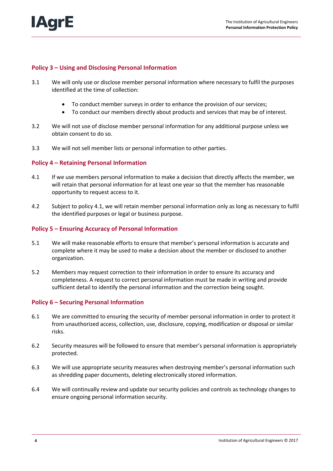#### **Policy 3 – Using and Disclosing Personal Information**

- 3.1 We will only use or disclose member personal information where necessary to fulfil the purposes identified at the time of collection:
	- To conduct member surveys in order to enhance the provision of our services;
	- To conduct our members directly about products and services that may be of interest.
- 3.2 We will not use of disclose member personal information for any additional purpose unless we obtain consent to do so.
- 3.3 We will not sell member lists or personal information to other parties.

#### **Policy 4 – Retaining Personal Information**

- 4.1 If we use members personal information to make a decision that directly affects the member, we will retain that personal information for at least one year so that the member has reasonable opportunity to request access to it.
- 4.2 Subject to policy 4.1, we will retain member personal information only as long as necessary to fulfil the identified purposes or legal or business purpose.

#### **Policy 5 – Ensuring Accuracy of Personal Information**

- 5.1 We will make reasonable efforts to ensure that member's personal information is accurate and complete where it may be used to make a decision about the member or disclosed to another organization.
- 5.2 Members may request correction to their information in order to ensure its accuracy and completeness. A request to correct personal information must be made in writing and provide sufficient detail to identify the personal information and the correction being sought.

#### **Policy 6 – Securing Personal Information**

- 6.1 We are committed to ensuring the security of member personal information in order to protect it from unauthorized access, collection, use, disclosure, copying, modification or disposal or similar risks.
- 6.2 Security measures will be followed to ensure that member's personal information is appropriately protected.
- 6.3 We will use appropriate security measures when destroying member's personal information such as shredding paper documents, deleting electronically stored information.
- 6.4 We will continually review and update our security policies and controls as technology changes to ensure ongoing personal information security.